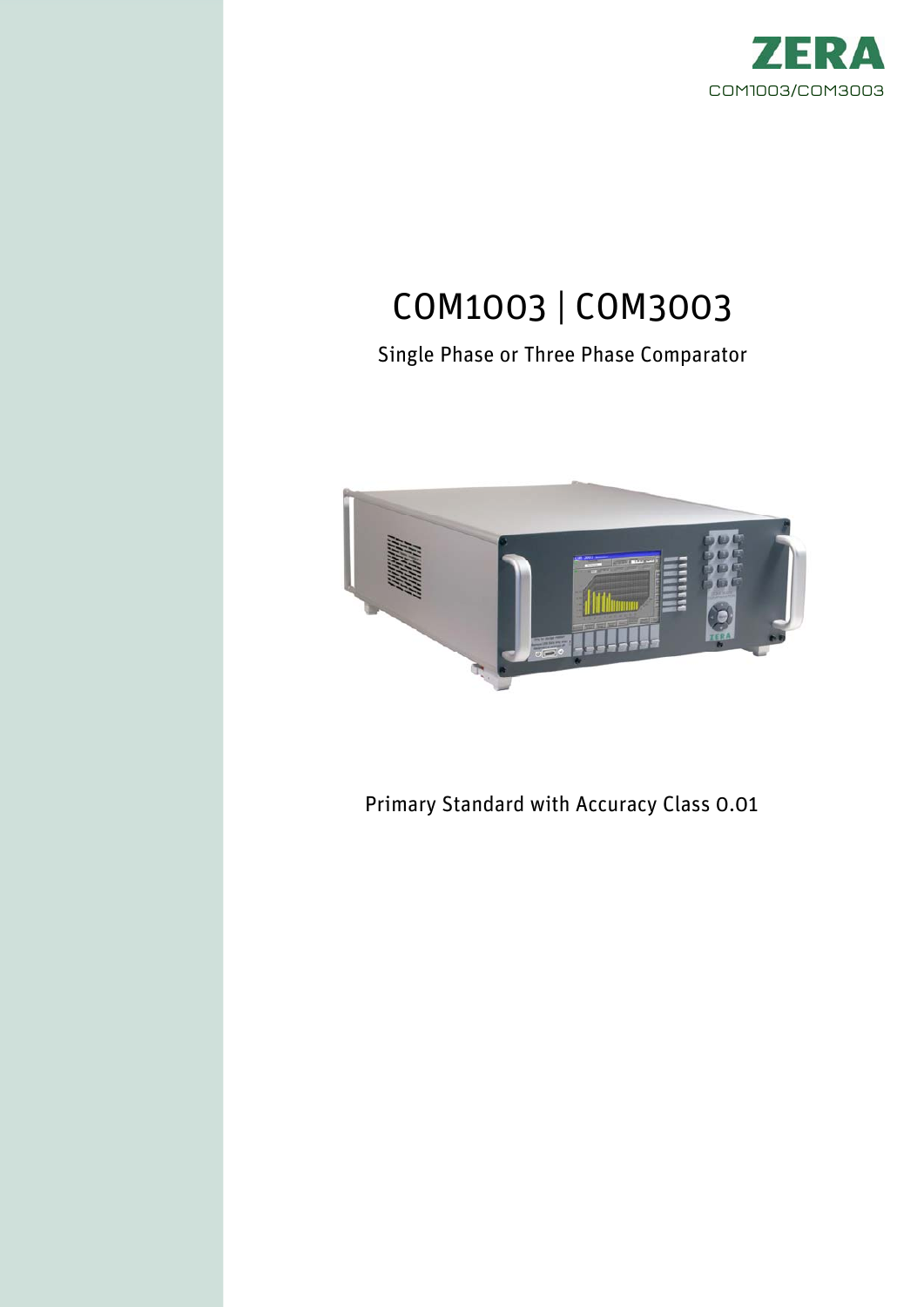

# COM1003 | COM3003

Single Phase or Three Phase Comparator



Primary Standard with Accuracy Class 0.01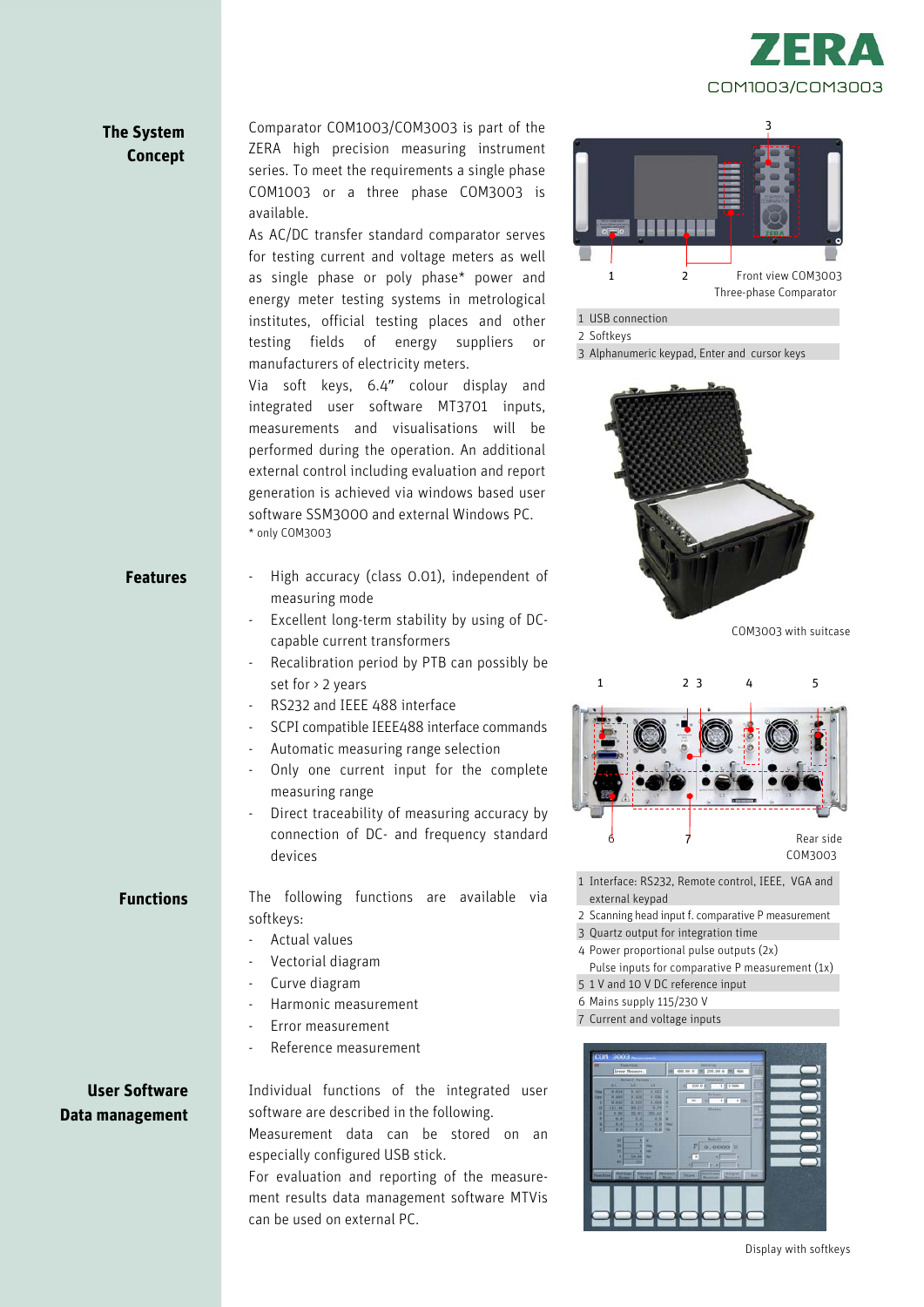

## **The System Concept**

Comparator COM1003/COM3003 is part of the ZERA high precision measuring instrument series. To meet the requirements a single phase COM1003 or a three phase COM3003 is available.

As AC/DC transfer standard comparator serves for testing current and voltage meters as well as single phase or poly phase\* power and energy meter testing systems in metrological institutes, official testing places and other testing fields of energy suppliers or manufacturers of electricity meters.

Via soft keys, 6.4" colour display and integrated user software MT3701 inputs, measurements and visualisations will be performed during the operation. An additional external control including evaluation and report generation is achieved via windows based user software SSM3000 and external Windows PC. \* only COM3003

- High accuracy (class 0.01), independent of measuring mode
- Excellent long-term stability by using of DCcapable current transformers
- Recalibration period by PTB can possibly be set for > 2 years
- RS232 and IEEE 488 interface
- SCPI compatible IEEE488 interface commands
- Automatic measuring range selection
- Only one current input for the complete measuring range
- Direct traceability of measuring accuracy by connection of DC- and frequency standard devices

**Functions** 

**Features** 

The following functions are available via softkeys:

- Actual values
- Vectorial diagram
- Curve diagram
- Harmonic measurement
- Error measurement
- Reference measurement

## **User Software Data management**

Individual functions of the integrated user software are described in the following. Measurement data can be stored on an especially configured USB stick.

For evaluation and reporting of the measurement results data management software MTVis can be used on external PC.



#### 1 USB connection

3 Alphanumeric keypad, Enter and cursor keys



COM3003 with suitcase



- 1 Interface: RS232, Remote control, IEEE, VGA and external keypad
- 2 Scanning head input f. comparative P measurement
- 3 Quartz output for integration time
- 4 Power proportional pulse outputs (2x)
- Pulse inputs for comparative P measurement (1x) 5 1 V and 10 V DC reference input
- 6 Mains supply 115/230 V
- 7 Current and voltage inputs



<sup>2</sup> Softkeys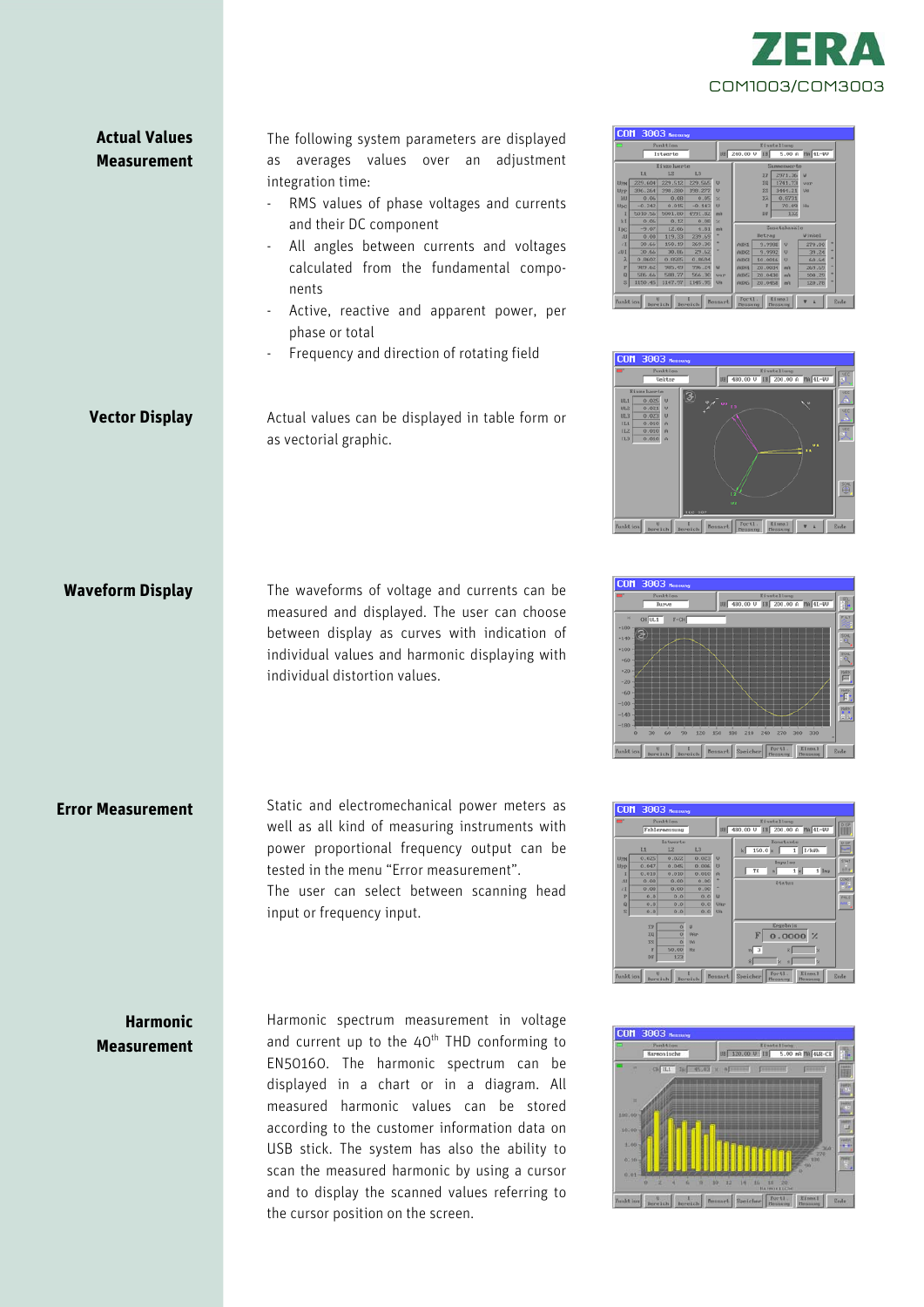

## **Actual Values Measurement**

**Vector Display** 

**Waveform Display** 

**Error Measurement** 

The following system parameters are displayed as averages values over an adjustment integration time:

- RMS values of phase voltages and currents and their DC component
- All angles between currents and voltages calculated from the fundamental components
- Active, reactive and apparent power, per phase or total
- Frequency and direction of rotating field

Actual values can be displayed in table form or as vectorial graphic.

The waveforms of voltage and currents can be measured and displayed. The user can choose between display as curves with indication of individual values and harmonic displaying with

Static and electromechanical power meters as well as all kind of measuring instruments with power proportional frequency output can be

The user can select between scanning head

tested in the menu "Error measurement".

individual distortion values.

input or frequency input.

| Funkt Ion      |          |          |          | Einstellung  |              |           |                |                |   |
|----------------|----------|----------|----------|--------------|--------------|-----------|----------------|----------------|---|
|                |          | Istuerte |          | UB           | 240.00 U     | 581       | 5.00A          | $ ma $ 41.-40  |   |
| Eivenlungte    |          |          |          |              | Summerssorte |           |                |                |   |
|                | L1       | 1.2      | L3       |              |              | <b>XP</b> | 2971.36        | $\overline{u}$ |   |
| <b>Liyes</b>   | 229.604  | 229.512  | 229.565  | $\mathbf{u}$ |              | 30        | 1741.73        | <b>MAY</b>     |   |
| Upp            | 396.264  | 398,280  | 398,277  | U            |              | $\Sigma$  | 3444.21        | <b>Un</b>      |   |
| <b>MI</b>      | 0.06     | 0.08     | 0.05     | 9            |              | yà.       | 0.8731         |                |   |
| Unc.           | $-0.242$ | 0.015    | $-0.143$ | $\mathbf{u}$ |              | F         | 70.09          | Hw             |   |
| т              | 5010.56  | 5001.00  | 4991.82  | mA           |              | DF.       | 132            |                |   |
| 3 <sup>c</sup> | 0.06     | 0.12     | 0.001    | k.           |              |           |                |                |   |
| Inc.           | $-9.07$  | 12.06    | 4.81     | mh           | Zusatzkanäle |           |                |                |   |
| AB             | 0.00     | 119.33   | 239.69   |              |              | Betrag    |                | <b>Winkel</b>  |   |
| $\angle 1$     | 30,66    | 150.19   | 269.30   |              | AUKI         | 9.9900    | $\upsilon$     | 270.00         | ٠ |
| 431            | 30.66    | 30.06    | 29.62    |              | <b>AUK2</b>  | 9.9992    | $\overline{a}$ | 39.24          | ۰ |
| $\lambda$      | 0.0602   | 0.0505   | 0.0694   |              | AUK3         | 50.0016   | $\sigma$       | 60.64          | ۰ |
| P              | 989.62   | 985.49   | 996.24   | $\mathbf{u}$ | <b>AURA</b>  | 20.0034   | mA             | 269.69         | ۰ |
| $\Omega$       | S86.66   | 588.77   | 566.30   | <b>VAP</b>   | <b>AUSS</b>  | 20.0430   | mA             | 100.29         | ٠ |
| s              | 1150.45  | 1147.97  | 1145.95  | UA           | <b>AUN6</b>  | 20.0458   | <b>BĤ</b>      | 120.78         | ٠ |
|                |          |          |          |              |              |           |                |                |   |







**Harmonic Measurement** 

Harmonic spectrum measurement in voltage and current up to the  $40<sup>th</sup>$  THD conforming to EN50160. The harmonic spectrum can be displayed in a chart or in a diagram. All measured harmonic values can be stored according to the customer information data on USB stick. The system has also the ability to scan the measured harmonic by using a cursor and to display the scanned values referring to the cursor position on the screen.